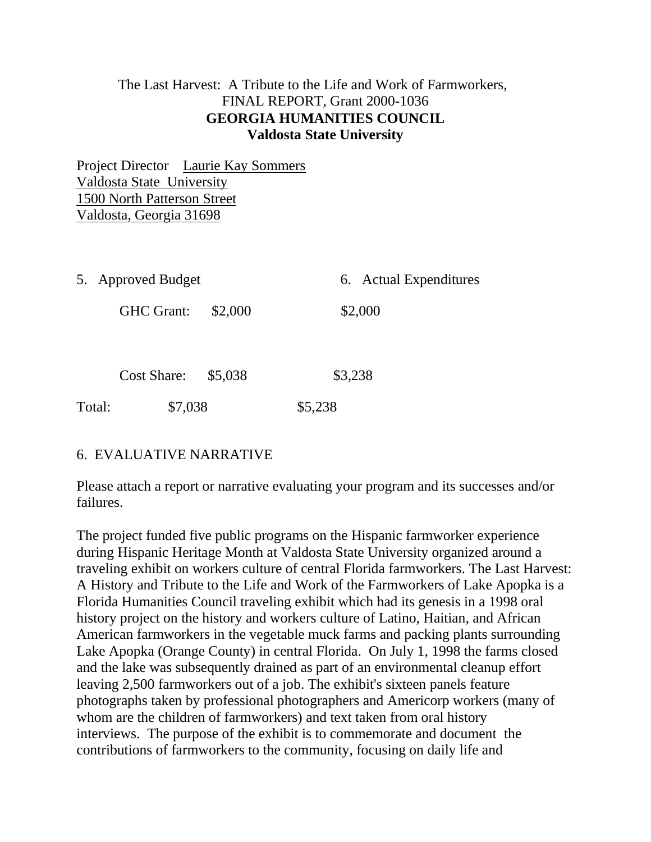## The Last Harvest: A Tribute to the Life and Work of Farmworkers, FINAL REPORT, Grant 2000-1036 **GEORGIA HUMANITIES COUNCIL Valdosta State University**

Project Director Laurie Kay Sommers Valdosta State University 1500 North Patterson Street Valdosta, Georgia 31698

| 5. Approved Budget   |  | 6. Actual Expenditures |  |
|----------------------|--|------------------------|--|
| GHC Grant: \$2,000   |  | \$2,000                |  |
| Cost Share: $$5,038$ |  | \$3,238                |  |

Total: \$7,038 \$5,238

# 6. EVALUATIVE NARRATIVE

Please attach a report or narrative evaluating your program and its successes and/or failures.

The project funded five public programs on the Hispanic farmworker experience during Hispanic Heritage Month at Valdosta State University organized around a traveling exhibit on workers culture of central Florida farmworkers. The Last Harvest: A History and Tribute to the Life and Work of the Farmworkers of Lake Apopka is a Florida Humanities Council traveling exhibit which had its genesis in a 1998 oral history project on the history and workers culture of Latino, Haitian, and African American farmworkers in the vegetable muck farms and packing plants surrounding Lake Apopka (Orange County) in central Florida. On July 1, 1998 the farms closed and the lake was subsequently drained as part of an environmental cleanup effort leaving 2,500 farmworkers out of a job. The exhibit's sixteen panels feature photographs taken by professional photographers and Americorp workers (many of whom are the children of farmworkers) and text taken from oral history interviews. The purpose of the exhibit is to commemorate and document the contributions of farmworkers to the community, focusing on daily life and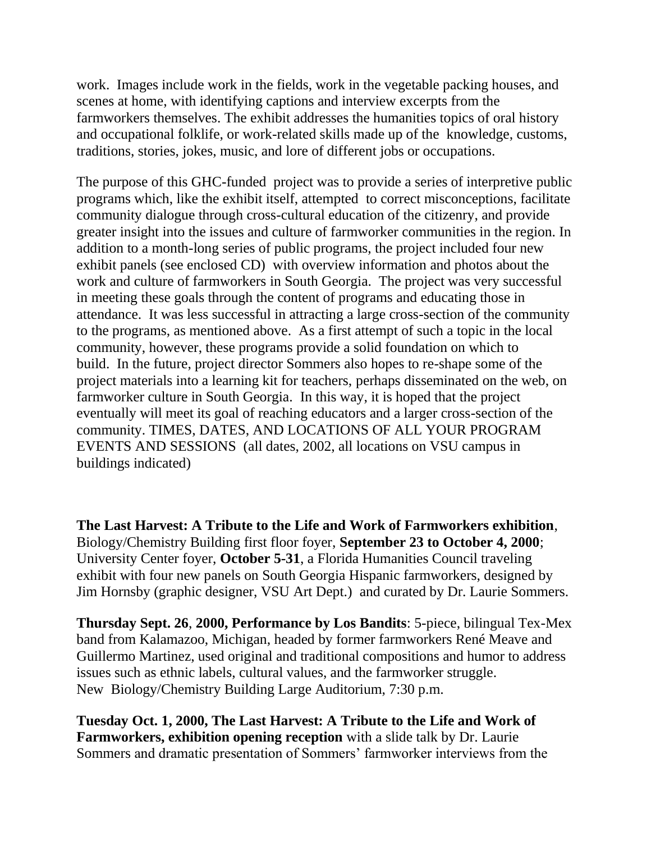work. Images include work in the fields, work in the vegetable packing houses, and scenes at home, with identifying captions and interview excerpts from the farmworkers themselves. The exhibit addresses the humanities topics of oral history and occupational folklife, or work-related skills made up of the knowledge, customs, traditions, stories, jokes, music, and lore of different jobs or occupations.

The purpose of this GHC-funded project was to provide a series of interpretive public programs which, like the exhibit itself, attempted to correct misconceptions, facilitate community dialogue through cross-cultural education of the citizenry, and provide greater insight into the issues and culture of farmworker communities in the region. In addition to a month-long series of public programs, the project included four new exhibit panels (see enclosed CD) with overview information and photos about the work and culture of farmworkers in South Georgia. The project was very successful in meeting these goals through the content of programs and educating those in attendance. It was less successful in attracting a large cross-section of the community to the programs, as mentioned above. As a first attempt of such a topic in the local community, however, these programs provide a solid foundation on which to build. In the future, project director Sommers also hopes to re-shape some of the project materials into a learning kit for teachers, perhaps disseminated on the web, on farmworker culture in South Georgia. In this way, it is hoped that the project eventually will meet its goal of reaching educators and a larger cross-section of the community. TIMES, DATES, AND LOCATIONS OF ALL YOUR PROGRAM EVENTS AND SESSIONS (all dates, 2002, all locations on VSU campus in buildings indicated)

**The Last Harvest: A Tribute to the Life and Work of Farmworkers exhibition**, Biology/Chemistry Building first floor foyer, **September 23 to October 4, 2000**; University Center foyer, **October 5-31**, a Florida Humanities Council traveling exhibit with four new panels on South Georgia Hispanic farmworkers, designed by Jim Hornsby (graphic designer, VSU Art Dept.) and curated by Dr. Laurie Sommers.

**Thursday Sept. 26**, **2000, Performance by Los Bandits**: 5-piece, bilingual Tex-Mex band from Kalamazoo, Michigan, headed by former farmworkers René Meave and Guillermo Martinez, used original and traditional compositions and humor to address issues such as ethnic labels, cultural values, and the farmworker struggle. New Biology/Chemistry Building Large Auditorium, 7:30 p.m.

**Tuesday Oct. 1, 2000, The Last Harvest: A Tribute to the Life and Work of Farmworkers, exhibition opening reception** with a slide talk by Dr. Laurie Sommers and dramatic presentation of Sommers' farmworker interviews from the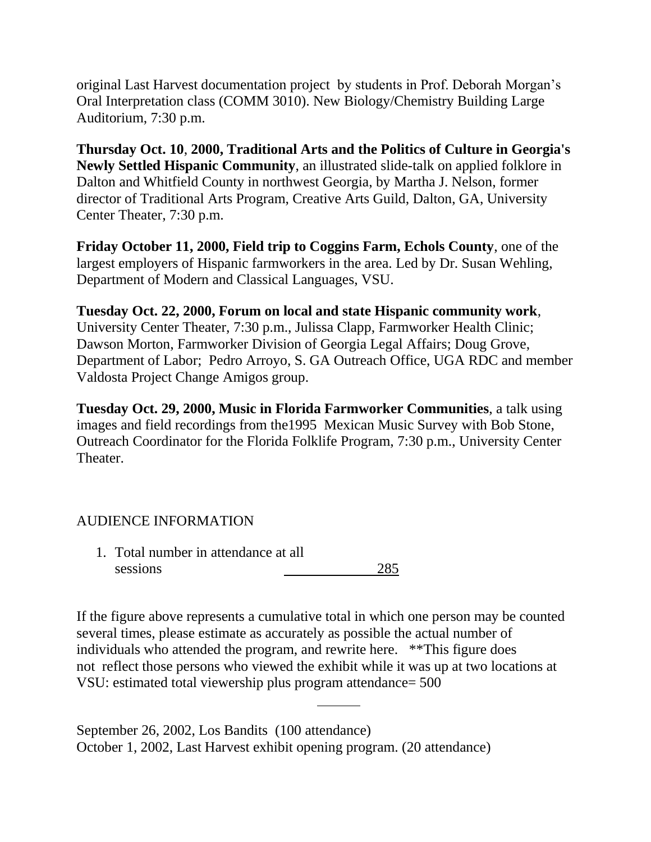original Last Harvest documentation project by students in Prof. Deborah Morgan's Oral Interpretation class (COMM 3010). New Biology/Chemistry Building Large Auditorium, 7:30 p.m.

**Thursday Oct. 10**, **2000, Traditional Arts and the Politics of Culture in Georgia's Newly Settled Hispanic Community**, an illustrated slide-talk on applied folklore in Dalton and Whitfield County in northwest Georgia, by Martha J. Nelson, former director of Traditional Arts Program, Creative Arts Guild, Dalton, GA, University Center Theater, 7:30 p.m.

**Friday October 11, 2000, Field trip to Coggins Farm, Echols County**, one of the largest employers of Hispanic farmworkers in the area. Led by Dr. Susan Wehling, Department of Modern and Classical Languages, VSU.

**Tuesday Oct. 22, 2000, Forum on local and state Hispanic community work**, University Center Theater, 7:30 p.m., Julissa Clapp, Farmworker Health Clinic; Dawson Morton, Farmworker Division of Georgia Legal Affairs; Doug Grove, Department of Labor; Pedro Arroyo, S. GA Outreach Office, UGA RDC and member Valdosta Project Change Amigos group.

**Tuesday Oct. 29, 2000, Music in Florida Farmworker Communities**, a talk using images and field recordings from the1995 Mexican Music Survey with Bob Stone, Outreach Coordinator for the Florida Folklife Program, 7:30 p.m., University Center Theater.

# AUDIENCE INFORMATION

1. Total number in attendance at all sessions 285

If the figure above represents a cumulative total in which one person may be counted several times, please estimate as accurately as possible the actual number of individuals who attended the program, and rewrite here. \*\*This figure does not reflect those persons who viewed the exhibit while it was up at two locations at VSU: estimated total viewership plus program attendance= 500

September 26, 2002, Los Bandits (100 attendance) October 1, 2002, Last Harvest exhibit opening program. (20 attendance)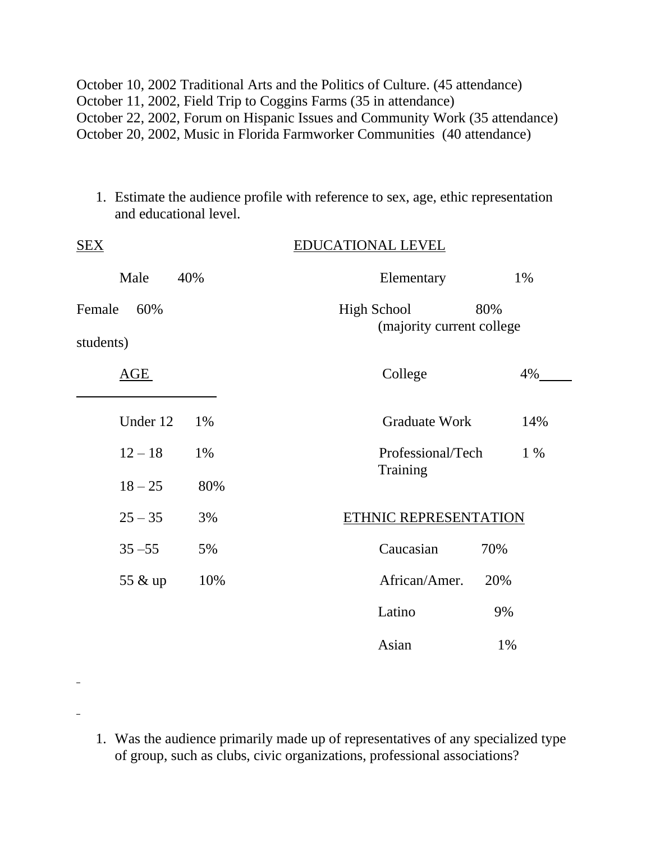October 10, 2002 Traditional Arts and the Politics of Culture. (45 attendance) October 11, 2002, Field Trip to Coggins Farms (35 in attendance) October 22, 2002, Forum on Hispanic Issues and Community Work (35 attendance) October 20, 2002, Music in Florida Farmworker Communities (40 attendance)

1. Estimate the audience profile with reference to sex, age, ethic representation and educational level.

| <u>SEX</u>                 |     | <b>EDUCATIONAL LEVEL</b>                                |       |  |
|----------------------------|-----|---------------------------------------------------------|-------|--|
| Male                       | 40% | Elementary                                              | 1%    |  |
| Female<br>60%<br>students) |     | <b>High School</b><br>80%<br>(majority current college) |       |  |
| AGE                        |     | College                                                 | 4%    |  |
| Under 12                   | 1%  | <b>Graduate Work</b>                                    | 14%   |  |
| $12 - 18$                  | 1%  | Professional/Tech<br>Training                           | $1\%$ |  |
| $18 - 25$                  | 80% |                                                         |       |  |
| $25 - 35$                  | 3%  | ETHNIC REPRESENTATION                                   |       |  |
| $35 - 55$                  | 5%  | Caucasian<br>70%                                        |       |  |
| 55 & up                    | 10% | African/Amer.<br>20%                                    |       |  |
|                            |     | Latino<br>9%                                            |       |  |
|                            |     | Asian<br>1%                                             |       |  |

1. Was the audience primarily made up of representatives of any specialized type of group, such as clubs, civic organizations, professional associations?

 $\overline{a}$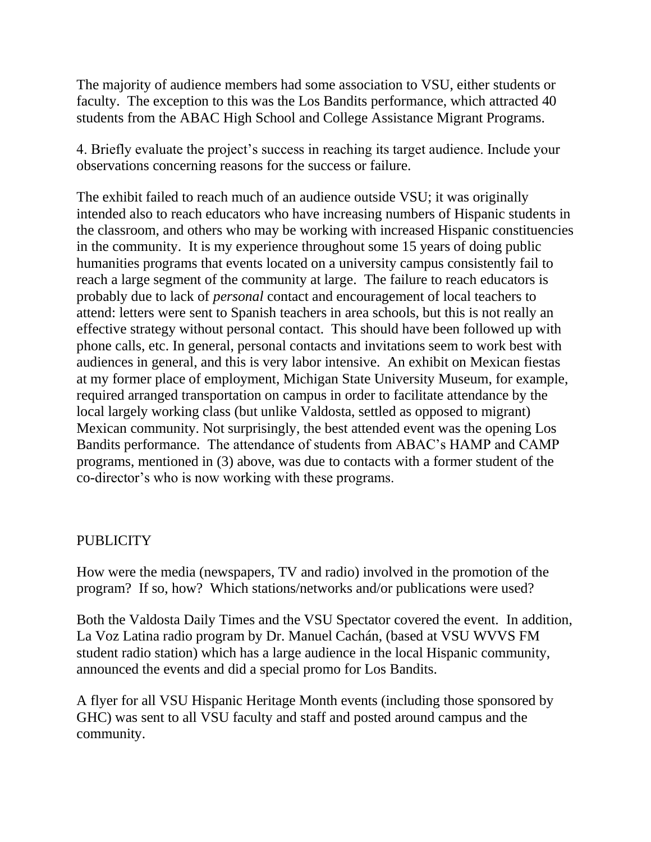The majority of audience members had some association to VSU, either students or faculty. The exception to this was the Los Bandits performance, which attracted 40 students from the ABAC High School and College Assistance Migrant Programs.

4. Briefly evaluate the project's success in reaching its target audience. Include your observations concerning reasons for the success or failure.

The exhibit failed to reach much of an audience outside VSU; it was originally intended also to reach educators who have increasing numbers of Hispanic students in the classroom, and others who may be working with increased Hispanic constituencies in the community. It is my experience throughout some 15 years of doing public humanities programs that events located on a university campus consistently fail to reach a large segment of the community at large. The failure to reach educators is probably due to lack of *personal* contact and encouragement of local teachers to attend: letters were sent to Spanish teachers in area schools, but this is not really an effective strategy without personal contact. This should have been followed up with phone calls, etc. In general, personal contacts and invitations seem to work best with audiences in general, and this is very labor intensive. An exhibit on Mexican fiestas at my former place of employment, Michigan State University Museum, for example, required arranged transportation on campus in order to facilitate attendance by the local largely working class (but unlike Valdosta, settled as opposed to migrant) Mexican community. Not surprisingly, the best attended event was the opening Los Bandits performance. The attendance of students from ABAC's HAMP and CAMP programs, mentioned in (3) above, was due to contacts with a former student of the co-director's who is now working with these programs.

#### **PUBLICITY**

How were the media (newspapers, TV and radio) involved in the promotion of the program? If so, how? Which stations/networks and/or publications were used?

Both the Valdosta Daily Times and the VSU Spectator covered the event. In addition, La Voz Latina radio program by Dr. Manuel Cachán, (based at VSU WVVS FM student radio station) which has a large audience in the local Hispanic community, announced the events and did a special promo for Los Bandits.

A flyer for all VSU Hispanic Heritage Month events (including those sponsored by GHC) was sent to all VSU faculty and staff and posted around campus and the community.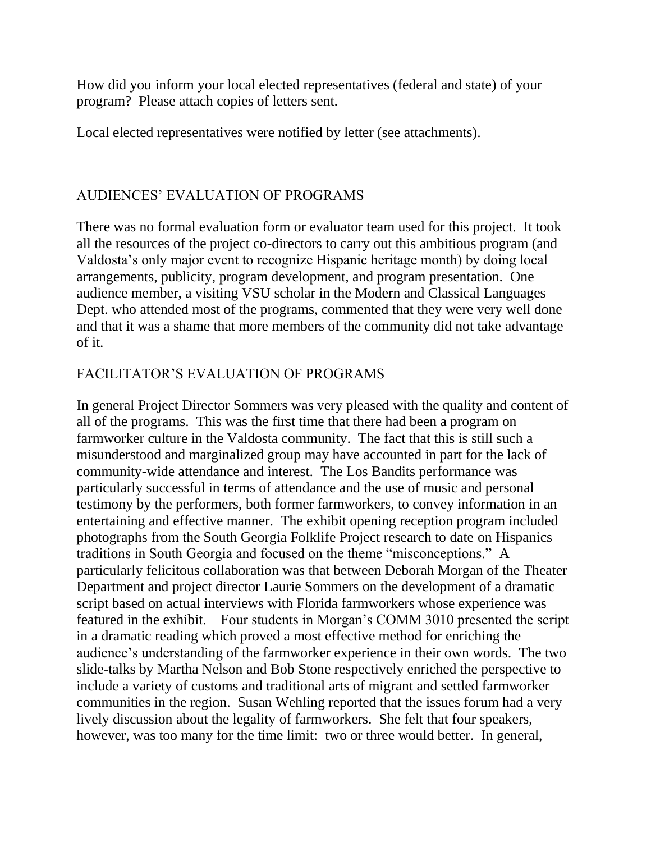How did you inform your local elected representatives (federal and state) of your program? Please attach copies of letters sent.

Local elected representatives were notified by letter (see attachments).

## AUDIENCES' EVALUATION OF PROGRAMS

There was no formal evaluation form or evaluator team used for this project. It took all the resources of the project co-directors to carry out this ambitious program (and Valdosta's only major event to recognize Hispanic heritage month) by doing local arrangements, publicity, program development, and program presentation. One audience member, a visiting VSU scholar in the Modern and Classical Languages Dept. who attended most of the programs, commented that they were very well done and that it was a shame that more members of the community did not take advantage of it.

## FACILITATOR'S EVALUATION OF PROGRAMS

In general Project Director Sommers was very pleased with the quality and content of all of the programs. This was the first time that there had been a program on farmworker culture in the Valdosta community. The fact that this is still such a misunderstood and marginalized group may have accounted in part for the lack of community-wide attendance and interest. The Los Bandits performance was particularly successful in terms of attendance and the use of music and personal testimony by the performers, both former farmworkers, to convey information in an entertaining and effective manner. The exhibit opening reception program included photographs from the South Georgia Folklife Project research to date on Hispanics traditions in South Georgia and focused on the theme "misconceptions." A particularly felicitous collaboration was that between Deborah Morgan of the Theater Department and project director Laurie Sommers on the development of a dramatic script based on actual interviews with Florida farmworkers whose experience was featured in the exhibit. Four students in Morgan's COMM 3010 presented the script in a dramatic reading which proved a most effective method for enriching the audience's understanding of the farmworker experience in their own words. The two slide-talks by Martha Nelson and Bob Stone respectively enriched the perspective to include a variety of customs and traditional arts of migrant and settled farmworker communities in the region. Susan Wehling reported that the issues forum had a very lively discussion about the legality of farmworkers. She felt that four speakers, however, was too many for the time limit: two or three would better. In general,